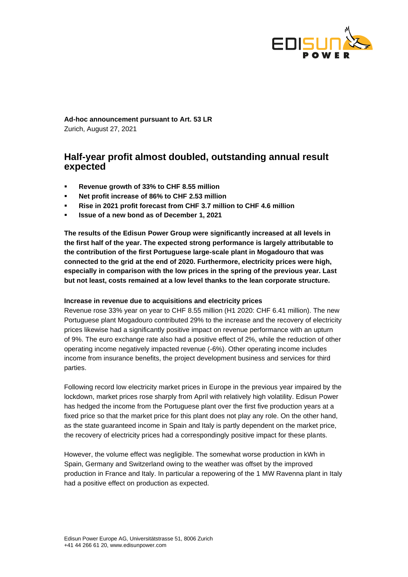

**Ad-hoc announcement pursuant to Art. 53 LR** Zurich, August 27, 2021

# **Half-year profit almost doubled, outstanding annual result expected**

- **Revenue growth of 33% to CHF 8.55 million**
- **Net profit increase of 86% to CHF 2.53 million**
- **Rise in 2021 profit forecast from CHF 3.7 million to CHF 4.6 million**
- **Issue of a new bond as of December 1, 2021**

**The results of the Edisun Power Group were significantly increased at all levels in the first half of the year. The expected strong performance is largely attributable to the contribution of the first Portuguese large-scale plant in Mogadouro that was connected to the grid at the end of 2020. Furthermore, electricity prices were high, especially in comparison with the low prices in the spring of the previous year. Last but not least, costs remained at a low level thanks to the lean corporate structure.**

### **Increase in revenue due to acquisitions and electricity prices**

Revenue rose 33% year on year to CHF 8.55 million (H1 2020: CHF 6.41 million). The new Portuguese plant Mogadouro contributed 29% to the increase and the recovery of electricity prices likewise had a significantly positive impact on revenue performance with an upturn of 9%. The euro exchange rate also had a positive effect of 2%, while the reduction of other operating income negatively impacted revenue (-6%). Other operating income includes income from insurance benefits, the project development business and services for third parties.

Following record low electricity market prices in Europe in the previous year impaired by the lockdown, market prices rose sharply from April with relatively high volatility. Edisun Power has hedged the income from the Portuguese plant over the first five production years at a fixed price so that the market price for this plant does not play any role. On the other hand, as the state guaranteed income in Spain and Italy is partly dependent on the market price, the recovery of electricity prices had a correspondingly positive impact for these plants.

However, the volume effect was negligible. The somewhat worse production in kWh in Spain, Germany and Switzerland owing to the weather was offset by the improved production in France and Italy. In particular a repowering of the 1 MW Ravenna plant in Italy had a positive effect on production as expected.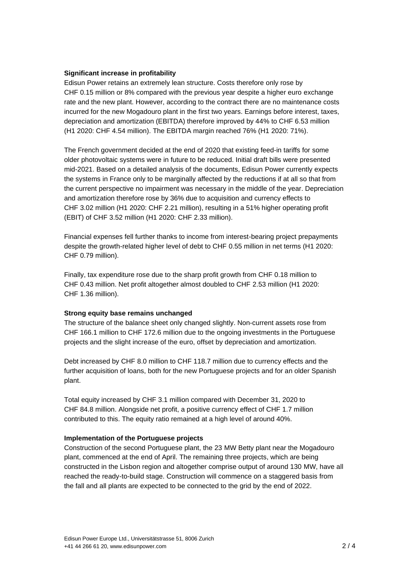# **Significant increase in profitability**

Edisun Power retains an extremely lean structure. Costs therefore only rose by CHF 0.15 million or 8% compared with the previous year despite a higher euro exchange rate and the new plant. However, according to the contract there are no maintenance costs incurred for the new Mogadouro plant in the first two years. Earnings before interest, taxes, depreciation and amortization (EBITDA) therefore improved by 44% to CHF 6.53 million (H1 2020: CHF 4.54 million). The EBITDA margin reached 76% (H1 2020: 71%).

The French government decided at the end of 2020 that existing feed-in tariffs for some older photovoltaic systems were in future to be reduced. Initial draft bills were presented mid-2021. Based on a detailed analysis of the documents, Edisun Power currently expects the systems in France only to be marginally affected by the reductions if at all so that from the current perspective no impairment was necessary in the middle of the year. Depreciation and amortization therefore rose by 36% due to acquisition and currency effects to CHF 3.02 million (H1 2020: CHF 2.21 million), resulting in a 51% higher operating profit (EBIT) of CHF 3.52 million (H1 2020: CHF 2.33 million).

Financial expenses fell further thanks to income from interest-bearing project prepayments despite the growth-related higher level of debt to CHF 0.55 million in net terms (H1 2020: CHF 0.79 million).

Finally, tax expenditure rose due to the sharp profit growth from CHF 0.18 million to CHF 0.43 million. Net profit altogether almost doubled to CHF 2.53 million (H1 2020: CHF 1.36 million).

### **Strong equity base remains unchanged**

The structure of the balance sheet only changed slightly. Non-current assets rose from CHF 166.1 million to CHF 172.6 million due to the ongoing investments in the Portuguese projects and the slight increase of the euro, offset by depreciation and amortization.

Debt increased by CHF 8.0 million to CHF 118.7 million due to currency effects and the further acquisition of loans, both for the new Portuguese projects and for an older Spanish plant.

Total equity increased by CHF 3.1 million compared with December 31, 2020 to CHF 84.8 million. Alongside net profit, a positive currency effect of CHF 1.7 million contributed to this. The equity ratio remained at a high level of around 40%.

### **Implementation of the Portuguese projects**

Construction of the second Portuguese plant, the 23 MW Betty plant near the Mogadouro plant, commenced at the end of April. The remaining three projects, which are being constructed in the Lisbon region and altogether comprise output of around 130 MW, have all reached the ready-to-build stage. Construction will commence on a staggered basis from the fall and all plants are expected to be connected to the grid by the end of 2022.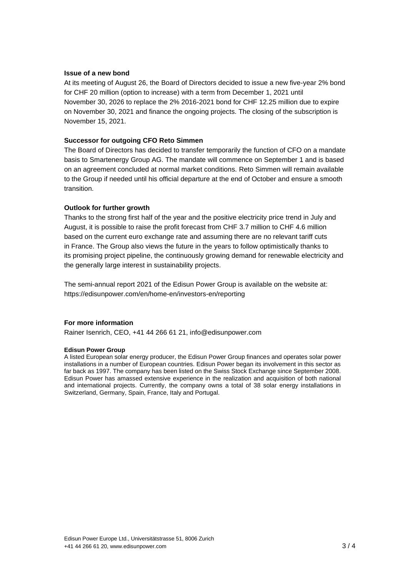### **Issue of a new bond**

At its meeting of August 26, the Board of Directors decided to issue a new five-year 2% bond for CHF 20 million (option to increase) with a term from December 1, 2021 until November 30, 2026 to replace the 2% 2016-2021 bond for CHF 12.25 million due to expire on November 30, 2021 and finance the ongoing projects. The closing of the subscription is November 15, 2021.

# **Successor for outgoing CFO Reto Simmen**

The Board of Directors has decided to transfer temporarily the function of CFO on a mandate basis to Smartenergy Group AG. The mandate will commence on September 1 and is based on an agreement concluded at normal market conditions. Reto Simmen will remain available to the Group if needed until his official departure at the end of October and ensure a smooth transition.

# **Outlook for further growth**

Thanks to the strong first half of the year and the positive electricity price trend in July and August, it is possible to raise the profit forecast from CHF 3.7 million to CHF 4.6 million based on the current euro exchange rate and assuming there are no relevant tariff cuts in France. The Group also views the future in the years to follow optimistically thanks to its promising project pipeline, the continuously growing demand for renewable electricity and the generally large interest in sustainability projects.

The semi-annual report 2021 of the Edisun Power Group is available on the website at: https://edisunpower.com/en/home-en/investors-en/reporting

# **For more information**

Rainer Isenrich, CEO, +41 44 266 61 21, info@edisunpower.com

### **Edisun Power Group**

A listed European solar energy producer, the Edisun Power Group finances and operates solar power installations in a number of European countries. Edisun Power began its involvement in this sector as far back as 1997. The company has been listed on the Swiss Stock Exchange since September 2008. Edisun Power has amassed extensive experience in the realization and acquisition of both national and international projects. Currently, the company owns a total of 38 solar energy installations in Switzerland, Germany, Spain, France, Italy and Portugal.